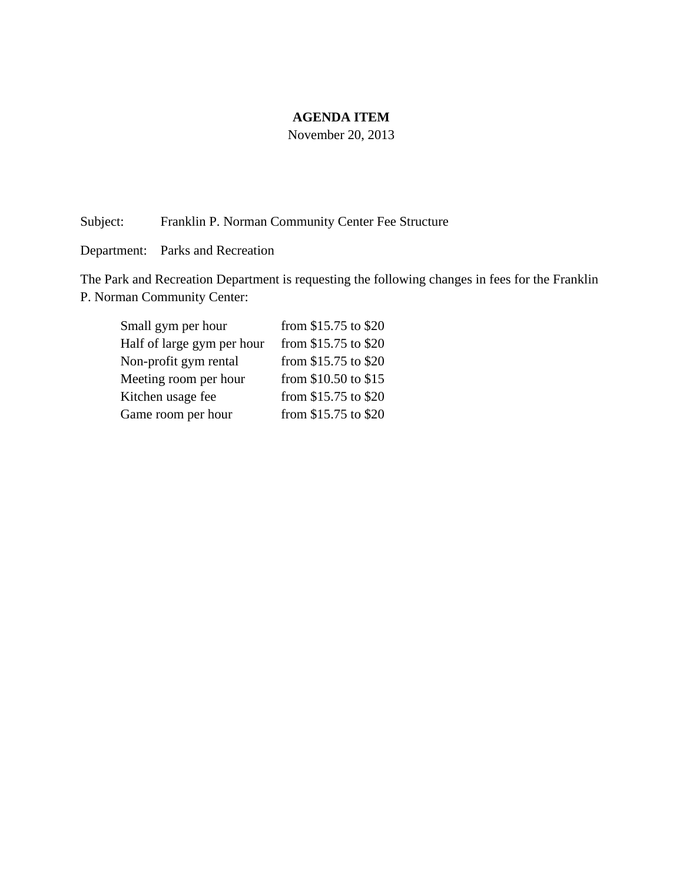#### **AGENDA ITEM**

November 20, 2013

Subject: Franklin P. Norman Community Center Fee Structure

Department: Parks and Recreation

The Park and Recreation Department is requesting the following changes in fees for the Franklin P. Norman Community Center:

| Small gym per hour         | from \$15.75 to \$20 |
|----------------------------|----------------------|
| Half of large gym per hour | from \$15.75 to \$20 |
| Non-profit gym rental      | from \$15.75 to \$20 |
| Meeting room per hour      | from \$10.50 to \$15 |
| Kitchen usage fee          | from \$15.75 to \$20 |
| Game room per hour         | from \$15.75 to \$20 |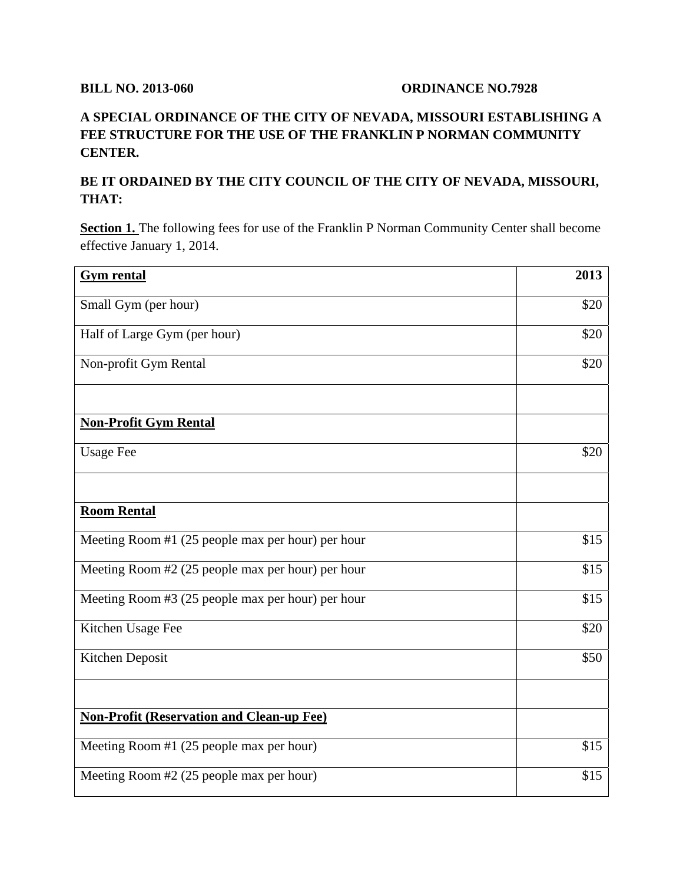## **BILL NO. 2013-060 ORDINANCE NO.7928**

# **A SPECIAL ORDINANCE OF THE CITY OF NEVADA, MISSOURI ESTABLISHING A FEE STRUCTURE FOR THE USE OF THE FRANKLIN P NORMAN COMMUNITY CENTER.**

## **BE IT ORDAINED BY THE CITY COUNCIL OF THE CITY OF NEVADA, MISSOURI, THAT:**

**Section 1.** The following fees for use of the Franklin P Norman Community Center shall become effective January 1, 2014.

| <b>Gym rental</b>                                 | 2013 |
|---------------------------------------------------|------|
| Small Gym (per hour)                              | \$20 |
| Half of Large Gym (per hour)                      | \$20 |
| Non-profit Gym Rental                             | \$20 |
|                                                   |      |
| <b>Non-Profit Gym Rental</b>                      |      |
| <b>Usage Fee</b>                                  | \$20 |
|                                                   |      |
| <b>Room Rental</b>                                |      |
| Meeting Room #1 (25 people max per hour) per hour | \$15 |
| Meeting Room #2 (25 people max per hour) per hour | \$15 |
| Meeting Room #3 (25 people max per hour) per hour | \$15 |
| Kitchen Usage Fee                                 | \$20 |
| Kitchen Deposit                                   | \$50 |
|                                                   |      |
| <b>Non-Profit (Reservation and Clean-up Fee)</b>  |      |
| Meeting Room #1 (25 people max per hour)          | \$15 |
| Meeting Room #2 (25 people max per hour)          | \$15 |